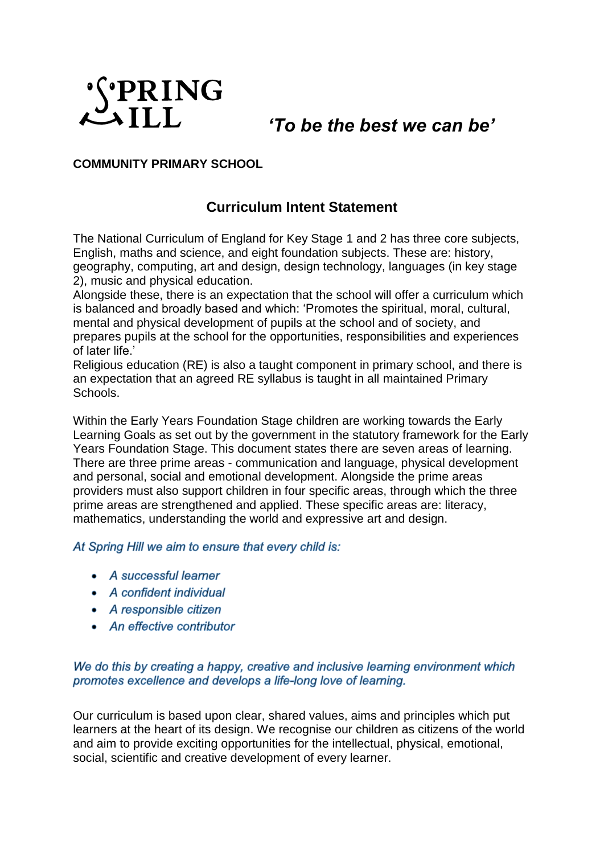

*'To be the best we can be'*

## **COMMUNITY PRIMARY SCHOOL**

## **Curriculum Intent Statement**

The National Curriculum of England for Key Stage 1 and 2 has three core subjects, English, maths and science, and eight foundation subjects. These are: history, geography, computing, art and design, design technology, languages (in key stage 2), music and physical education.

Alongside these, there is an expectation that the school will offer a curriculum which is balanced and broadly based and which: 'Promotes the spiritual, moral, cultural, mental and physical development of pupils at the school and of society, and prepares pupils at the school for the opportunities, responsibilities and experiences of later life.'

Religious education (RE) is also a taught component in primary school, and there is an expectation that an agreed RE syllabus is taught in all maintained Primary Schools.

Within the Early Years Foundation Stage children are working towards the Early Learning Goals as set out by the government in the statutory framework for the Early Years Foundation Stage. This document states there are seven areas of learning. There are three prime areas - communication and language, physical development and personal, social and emotional development. Alongside the prime areas providers must also support children in four specific areas, through which the three prime areas are strengthened and applied. These specific areas are: literacy, mathematics, understanding the world and expressive art and design.

At Spring Hill we aim to ensure that every child is:

- A successful learner
- A confident individual
- A responsible citizen
- An effective contributor

## We do this by creating a happy, creative and inclusive learning environment which promotes excellence and develops a life-long love of learning.

Our curriculum is based upon clear, shared values, aims and principles which put learners at the heart of its design. We recognise our children as citizens of the world and aim to provide exciting opportunities for the intellectual, physical, emotional, social, scientific and creative development of every learner.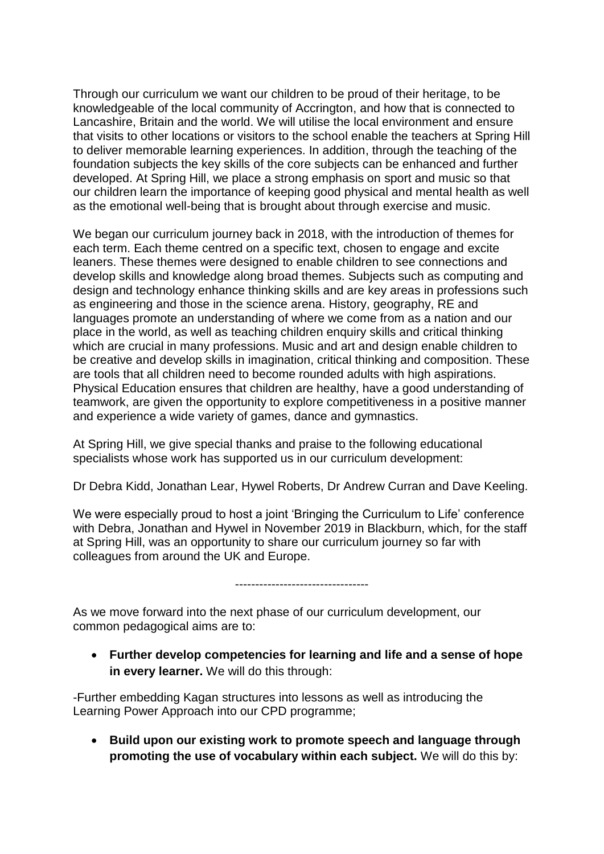Through our curriculum we want our children to be proud of their heritage, to be knowledgeable of the local community of Accrington, and how that is connected to Lancashire, Britain and the world. We will utilise the local environment and ensure that visits to other locations or visitors to the school enable the teachers at Spring Hill to deliver memorable learning experiences. In addition, through the teaching of the foundation subjects the key skills of the core subjects can be enhanced and further developed. At Spring Hill, we place a strong emphasis on sport and music so that our children learn the importance of keeping good physical and mental health as well as the emotional well-being that is brought about through exercise and music.

We began our curriculum journey back in 2018, with the introduction of themes for each term. Each theme centred on a specific text, chosen to engage and excite leaners. These themes were designed to enable children to see connections and develop skills and knowledge along broad themes. Subjects such as computing and design and technology enhance thinking skills and are key areas in professions such as engineering and those in the science arena. History, geography, RE and languages promote an understanding of where we come from as a nation and our place in the world, as well as teaching children enquiry skills and critical thinking which are crucial in many professions. Music and art and design enable children to be creative and develop skills in imagination, critical thinking and composition. These are tools that all children need to become rounded adults with high aspirations. Physical Education ensures that children are healthy, have a good understanding of teamwork, are given the opportunity to explore competitiveness in a positive manner and experience a wide variety of games, dance and gymnastics.

At Spring Hill, we give special thanks and praise to the following educational specialists whose work has supported us in our curriculum development:

Dr Debra Kidd, Jonathan Lear, Hywel Roberts, Dr Andrew Curran and Dave Keeling.

We were especially proud to host a joint 'Bringing the Curriculum to Life' conference with Debra, Jonathan and Hywel in November 2019 in Blackburn, which, for the staff at Spring Hill, was an opportunity to share our curriculum journey so far with colleagues from around the UK and Europe.

---------------------------------

As we move forward into the next phase of our curriculum development, our common pedagogical aims are to:

 **Further develop competencies for learning and life and a sense of hope in every learner.** We will do this through:

-Further embedding Kagan structures into lessons as well as introducing the Learning Power Approach into our CPD programme;

 **Build upon our existing work to promote speech and language through promoting the use of vocabulary within each subject.** We will do this by: